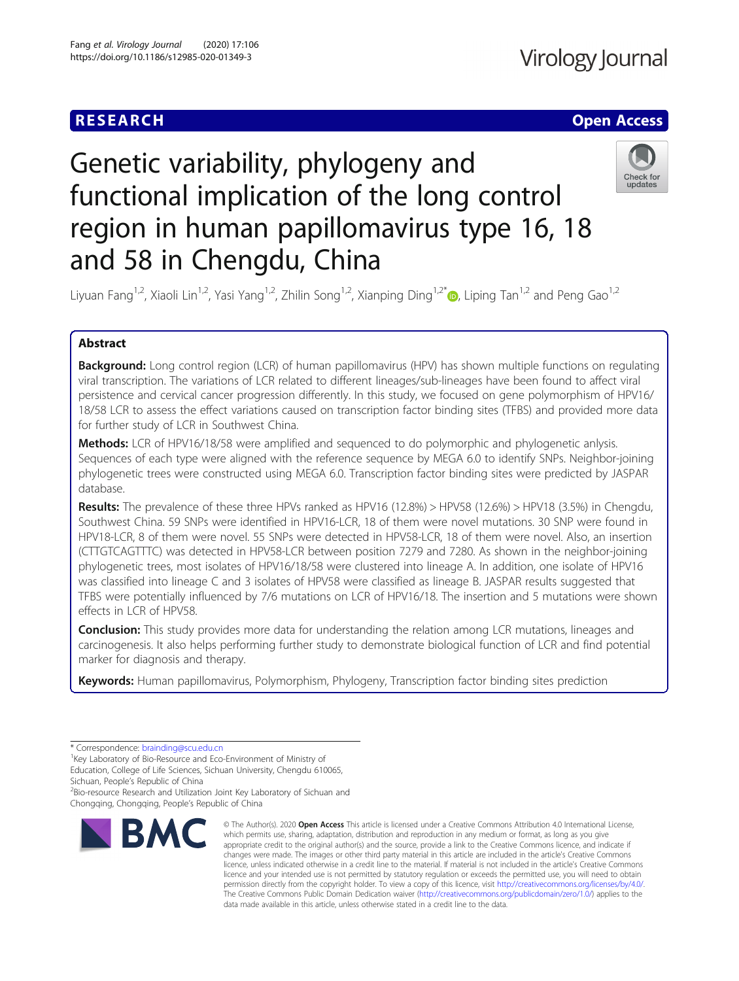# **RESEARCH CHE Open Access**

# Genetic variability, phylogeny and functional implication of the long control region in human papillomavirus type 16, 18 and 58 in Chengdu, China



Liyuan Fang<sup>1,2</sup>, Xiaoli Lin<sup>1,2</sup>, Yasi Yang<sup>1,2</sup>, Zhilin Song<sup>1,2</sup>, Xianping Ding<sup>1,2\*</sup> , Liping Tan<sup>1,2</sup> and Peng Gao<sup>1,2</sup>

## Abstract

**Background:** Long control region (LCR) of human papillomavirus (HPV) has shown multiple functions on regulating viral transcription. The variations of LCR related to different lineages/sub-lineages have been found to affect viral persistence and cervical cancer progression differently. In this study, we focused on gene polymorphism of HPV16/ 18/58 LCR to assess the effect variations caused on transcription factor binding sites (TFBS) and provided more data for further study of LCR in Southwest China.

**Methods:** LCR of HPV16/18/58 were amplified and sequenced to do polymorphic and phylogenetic anlysis. Sequences of each type were aligned with the reference sequence by MEGA 6.0 to identify SNPs. Neighbor-joining phylogenetic trees were constructed using MEGA 6.0. Transcription factor binding sites were predicted by JASPAR database.

Results: The prevalence of these three HPVs ranked as HPV16 (12.8%) > HPV58 (12.6%) > HPV18 (3.5%) in Chengdu, Southwest China. 59 SNPs were identified in HPV16-LCR, 18 of them were novel mutations. 30 SNP were found in HPV18-LCR, 8 of them were novel. 55 SNPs were detected in HPV58-LCR, 18 of them were novel. Also, an insertion (CTTGTCAGTTTC) was detected in HPV58-LCR between position 7279 and 7280. As shown in the neighbor-joining phylogenetic trees, most isolates of HPV16/18/58 were clustered into lineage A. In addition, one isolate of HPV16 was classified into lineage C and 3 isolates of HPV58 were classified as lineage B. JASPAR results suggested that TFBS were potentially influenced by 7/6 mutations on LCR of HPV16/18. The insertion and 5 mutations were shown effects in LCR of HPV58.

**Conclusion:** This study provides more data for understanding the relation among LCR mutations, lineages and carcinogenesis. It also helps performing further study to demonstrate biological function of LCR and find potential marker for diagnosis and therapy.

Keywords: Human papillomavirus, Polymorphism, Phylogeny, Transcription factor binding sites prediction

\* Correspondence: [brainding@scu.edu.cn](mailto:brainding@scu.edu.cn) <sup>1</sup>

<sup>1</sup>Key Laboratory of Bio-Resource and Eco-Environment of Ministry of

Education, College of Life Sciences, Sichuan University, Chengdu 610065,

Sichuan, People's Republic of China <sup>2</sup>

<sup>2</sup>Bio-resource Research and Utilization Joint Key Laboratory of Sichuan and Chongqing, Chongqing, People's Republic of China



<sup>©</sup> The Author(s), 2020 **Open Access** This article is licensed under a Creative Commons Attribution 4.0 International License, which permits use, sharing, adaptation, distribution and reproduction in any medium or format, as long as you give appropriate credit to the original author(s) and the source, provide a link to the Creative Commons licence, and indicate if changes were made. The images or other third party material in this article are included in the article's Creative Commons licence, unless indicated otherwise in a credit line to the material. If material is not included in the article's Creative Commons licence and your intended use is not permitted by statutory regulation or exceeds the permitted use, you will need to obtain permission directly from the copyright holder. To view a copy of this licence, visit [http://creativecommons.org/licenses/by/4.0/.](http://creativecommons.org/licenses/by/4.0/) The Creative Commons Public Domain Dedication waiver [\(http://creativecommons.org/publicdomain/zero/1.0/](http://creativecommons.org/publicdomain/zero/1.0/)) applies to the data made available in this article, unless otherwise stated in a credit line to the data.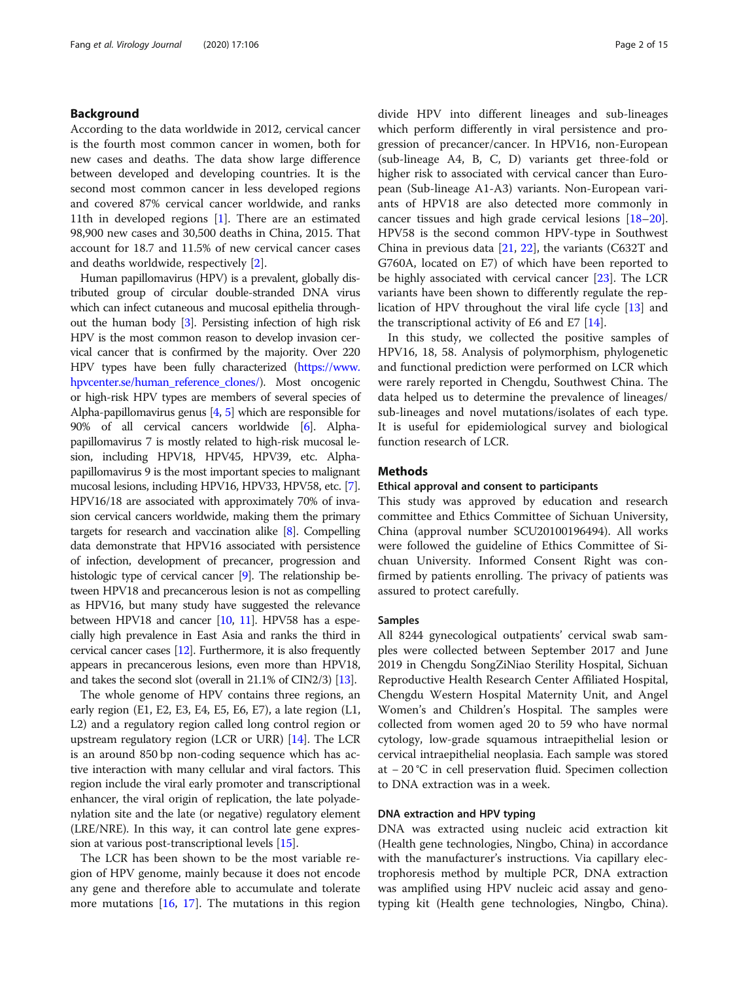#### Background

According to the data worldwide in 2012, cervical cancer is the fourth most common cancer in women, both for new cases and deaths. The data show large difference between developed and developing countries. It is the second most common cancer in less developed regions and covered 87% cervical cancer worldwide, and ranks 11th in developed regions [[1\]](#page-13-0). There are an estimated 98,900 new cases and 30,500 deaths in China, 2015. That account for 18.7 and 11.5% of new cervical cancer cases and deaths worldwide, respectively [[2\]](#page-13-0).

Human papillomavirus (HPV) is a prevalent, globally distributed group of circular double-stranded DNA virus which can infect cutaneous and mucosal epithelia throughout the human body [[3](#page-13-0)]. Persisting infection of high risk HPV is the most common reason to develop invasion cervical cancer that is confirmed by the majority. Over 220 HPV types have been fully characterized [\(https://www.](https://www.hpvcenter.se/human_reference_clones/) [hpvcenter.se/human\\_reference\\_clones/](https://www.hpvcenter.se/human_reference_clones/)). Most oncogenic or high-risk HPV types are members of several species of Alpha-papillomavirus genus [\[4,](#page-13-0) [5](#page-13-0)] which are responsible for 90% of all cervical cancers worldwide [\[6\]](#page-13-0). Alphapapillomavirus 7 is mostly related to high-risk mucosal lesion, including HPV18, HPV45, HPV39, etc. Alphapapillomavirus 9 is the most important species to malignant mucosal lesions, including HPV16, HPV33, HPV58, etc. [[7](#page-13-0)]. HPV16/18 are associated with approximately 70% of invasion cervical cancers worldwide, making them the primary targets for research and vaccination alike [\[8\]](#page-13-0). Compelling data demonstrate that HPV16 associated with persistence of infection, development of precancer, progression and histologic type of cervical cancer [\[9\]](#page-13-0). The relationship between HPV18 and precancerous lesion is not as compelling as HPV16, but many study have suggested the relevance between HPV18 and cancer [[10,](#page-13-0) [11\]](#page-13-0). HPV58 has a especially high prevalence in East Asia and ranks the third in cervical cancer cases [\[12\]](#page-13-0). Furthermore, it is also frequently appears in precancerous lesions, even more than HPV18, and takes the second slot (overall in 21.1% of CIN2/3) [\[13\]](#page-13-0).

The whole genome of HPV contains three regions, an early region (E1, E2, E3, E4, E5, E6, E7), a late region (L1, L2) and a regulatory region called long control region or upstream regulatory region (LCR or URR) [\[14\]](#page-13-0). The LCR is an around 850 bp non-coding sequence which has active interaction with many cellular and viral factors. This region include the viral early promoter and transcriptional enhancer, the viral origin of replication, the late polyadenylation site and the late (or negative) regulatory element (LRE/NRE). In this way, it can control late gene expression at various post-transcriptional levels [[15\]](#page-13-0).

The LCR has been shown to be the most variable region of HPV genome, mainly because it does not encode any gene and therefore able to accumulate and tolerate more mutations  $[16, 17]$  $[16, 17]$  $[16, 17]$  $[16, 17]$ . The mutations in this region divide HPV into different lineages and sub-lineages which perform differently in viral persistence and progression of precancer/cancer. In HPV16, non-European (sub-lineage A4, B, C, D) variants get three-fold or higher risk to associated with cervical cancer than European (Sub-lineage A1-A3) variants. Non-European variants of HPV18 are also detected more commonly in cancer tissues and high grade cervical lesions [[18](#page-13-0)–[20](#page-13-0)]. HPV58 is the second common HPV-type in Southwest China in previous data [[21](#page-13-0), [22\]](#page-13-0), the variants (C632T and G760A, located on E7) of which have been reported to be highly associated with cervical cancer [\[23](#page-13-0)]. The LCR variants have been shown to differently regulate the replication of HPV throughout the viral life cycle [[13](#page-13-0)] and the transcriptional activity of E6 and E7 [[14\]](#page-13-0).

In this study, we collected the positive samples of HPV16, 18, 58. Analysis of polymorphism, phylogenetic and functional prediction were performed on LCR which were rarely reported in Chengdu, Southwest China. The data helped us to determine the prevalence of lineages/ sub-lineages and novel mutations/isolates of each type. It is useful for epidemiological survey and biological function research of LCR.

#### Methods

#### Ethical approval and consent to participants

This study was approved by education and research committee and Ethics Committee of Sichuan University, China (approval number SCU20100196494). All works were followed the guideline of Ethics Committee of Sichuan University. Informed Consent Right was confirmed by patients enrolling. The privacy of patients was assured to protect carefully.

#### Samples

All 8244 gynecological outpatients' cervical swab samples were collected between September 2017 and June 2019 in Chengdu SongZiNiao Sterility Hospital, Sichuan Reproductive Health Research Center Affiliated Hospital, Chengdu Western Hospital Maternity Unit, and Angel Women's and Children's Hospital. The samples were collected from women aged 20 to 59 who have normal cytology, low-grade squamous intraepithelial lesion or cervical intraepithelial neoplasia. Each sample was stored at − 20 °C in cell preservation fluid. Specimen collection to DNA extraction was in a week.

#### DNA extraction and HPV typing

DNA was extracted using nucleic acid extraction kit (Health gene technologies, Ningbo, China) in accordance with the manufacturer's instructions. Via capillary electrophoresis method by multiple PCR, DNA extraction was amplified using HPV nucleic acid assay and genotyping kit (Health gene technologies, Ningbo, China).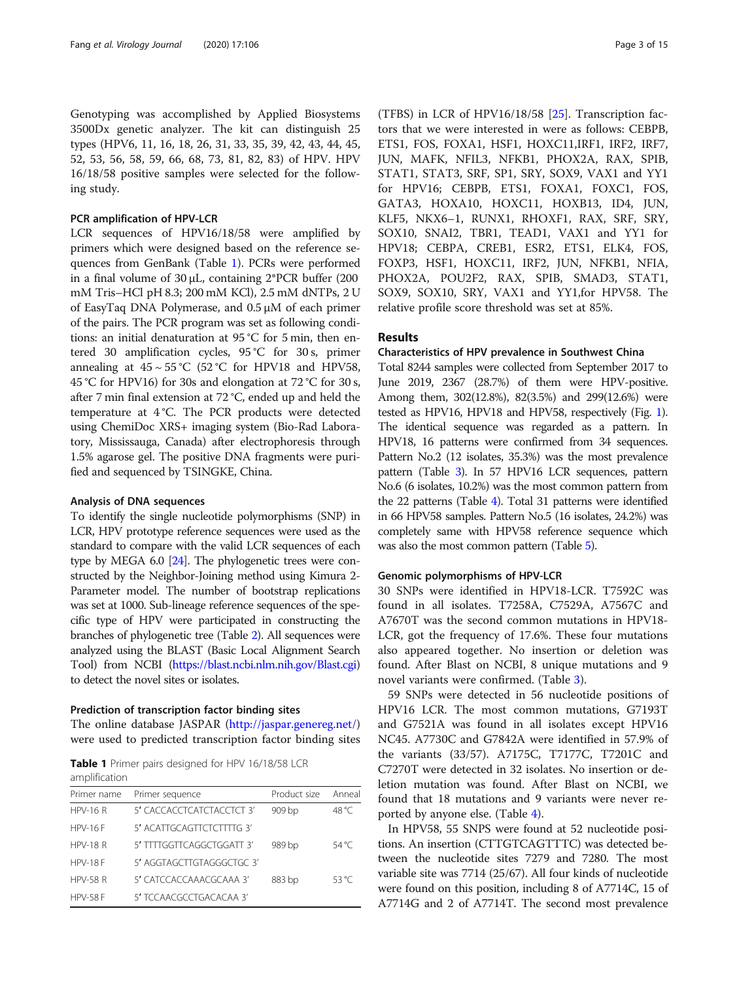Genotyping was accomplished by Applied Biosystems 3500Dx genetic analyzer. The kit can distinguish 25 types (HPV6, 11, 16, 18, 26, 31, 33, 35, 39, 42, 43, 44, 45, 52, 53, 56, 58, 59, 66, 68, 73, 81, 82, 83) of HPV. HPV 16/18/58 positive samples were selected for the following study.

#### PCR amplification of HPV-LCR

LCR sequences of HPV16/18/58 were amplified by primers which were designed based on the reference sequences from GenBank (Table 1). PCRs were performed in a final volume of 30 μL, containing 2\*PCR buffer (200 mM Tris–HCl pH 8.3; 200 mM KCl), 2.5 mM dNTPs, 2 U of EasyTaq DNA Polymerase, and 0.5 μM of each primer of the pairs. The PCR program was set as following conditions: an initial denaturation at 95 °C for 5 min, then entered 30 amplification cycles, 95 °C for 30 s, primer annealing at  $45 \sim 55 \degree C$  (52 °C for HPV18 and HPV58, 45 °C for HPV16) for 30s and elongation at 72 °C for 30 s, after 7 min final extension at 72 °C, ended up and held the temperature at 4 °C. The PCR products were detected using ChemiDoc XRS+ imaging system (Bio-Rad Laboratory, Mississauga, Canada) after electrophoresis through 1.5% agarose gel. The positive DNA fragments were purified and sequenced by TSINGKE, China.

#### Analysis of DNA sequences

To identify the single nucleotide polymorphisms (SNP) in LCR, HPV prototype reference sequences were used as the standard to compare with the valid LCR sequences of each type by MEGA 6.0 [[24](#page-13-0)]. The phylogenetic trees were constructed by the Neighbor-Joining method using Kimura 2- Parameter model. The number of bootstrap replications was set at 1000. Sub-lineage reference sequences of the specific type of HPV were participated in constructing the branches of phylogenetic tree (Table [2](#page-3-0)). All sequences were analyzed using the BLAST (Basic Local Alignment Search Tool) from NCBI [\(https://blast.ncbi.nlm.nih.gov/Blast.cgi](https://blast.ncbi.nlm.nih.gov/Blast.cgi)) to detect the novel sites or isolates.

#### Prediction of transcription factor binding sites

The online database JASPAR (<http://jaspar.genereg.net/>) were used to predicted transcription factor binding sites

Table 1 Primer pairs designed for HPV 16/18/58 LCR amplification

| Primer name     | Primer sequence           | Product size | Anneal |
|-----------------|---------------------------|--------------|--------|
| $HPV-16 R$      | 5' CACCACCTCATCTACCTCT 3' | 909 bp       | 48 °C  |
| $HPV-16F$       | 5' ACATTGCAGTTCTCTTTG 3'  |              |        |
| $HPV-18 R$      | 5' TITTGGTTCAGGCTGGATT 3' | 989 bp       | 54 °C  |
| $HPV-18F$       | 5' AGGTAGCTTGTAGGGCTGC 3' |              |        |
| <b>HPV-58 R</b> | 5' CATCCACCAAACGCAAA 3'   | 883 bp       | 53 °C  |
| <b>HPV-58 F</b> | 5' TCCAACGCCTGACACAA 3'   |              |        |

(TFBS) in LCR of HPV16/18/58 [\[25\]](#page-13-0). Transcription factors that we were interested in were as follows: CEBPB, ETS1, FOS, FOXA1, HSF1, HOXC11,IRF1, IRF2, IRF7, JUN, MAFK, NFIL3, NFKB1, PHOX2A, RAX, SPIB, STAT1, STAT3, SRF, SP1, SRY, SOX9, VAX1 and YY1 for HPV16; CEBPB, ETS1, FOXA1, FOXC1, FOS, GATA3, HOXA10, HOXC11, HOXB13, ID4, JUN, KLF5, NKX6–1, RUNX1, RHOXF1, RAX, SRF, SRY, SOX10, SNAI2, TBR1, TEAD1, VAX1 and YY1 for HPV18; CEBPA, CREB1, ESR2, ETS1, ELK4, FOS, FOXP3, HSF1, HOXC11, IRF2, JUN, NFKB1, NFIA, PHOX2A, POU2F2, RAX, SPIB, SMAD3, STAT1, SOX9, SOX10, SRY, VAX1 and YY1,for HPV58. The relative profile score threshold was set at 85%.

#### Results

#### Characteristics of HPV prevalence in Southwest China

Total 8244 samples were collected from September 2017 to June 2019, 2367 (28.7%) of them were HPV-positive. Among them, 302(12.8%), 82(3.5%) and 299(12.6%) were tested as HPV16, HPV18 and HPV58, respectively (Fig. [1](#page-3-0)). The identical sequence was regarded as a pattern. In HPV18, 16 patterns were confirmed from 34 sequences. Pattern No.2 (12 isolates, 35.3%) was the most prevalence pattern (Table [3\)](#page-4-0). In 57 HPV16 LCR sequences, pattern No.6 (6 isolates, 10.2%) was the most common pattern from the 22 patterns (Table [4\)](#page-5-0). Total 31 patterns were identified in 66 HPV58 samples. Pattern No.5 (16 isolates, 24.2%) was completely same with HPV58 reference sequence which was also the most common pattern (Table [5](#page-7-0)).

#### Genomic polymorphisms of HPV-LCR

30 SNPs were identified in HPV18-LCR. T7592C was found in all isolates. T7258A, C7529A, A7567C and A7670T was the second common mutations in HPV18- LCR, got the frequency of 17.6%. These four mutations also appeared together. No insertion or deletion was found. After Blast on NCBI, 8 unique mutations and 9 novel variants were confirmed. (Table [3\)](#page-4-0).

59 SNPs were detected in 56 nucleotide positions of HPV16 LCR. The most common mutations, G7193T and G7521A was found in all isolates except HPV16 NC45. A7730C and G7842A were identified in 57.9% of the variants (33/57). A7175C, T7177C, T7201C and C7270T were detected in 32 isolates. No insertion or deletion mutation was found. After Blast on NCBI, we found that 18 mutations and 9 variants were never reported by anyone else. (Table [4](#page-5-0)).

In HPV58, 55 SNPS were found at 52 nucleotide positions. An insertion (CTTGTCAGTTTC) was detected between the nucleotide sites 7279 and 7280. The most variable site was 7714 (25/67). All four kinds of nucleotide were found on this position, including 8 of A7714C, 15 of A7714G and 2 of A7714T. The second most prevalence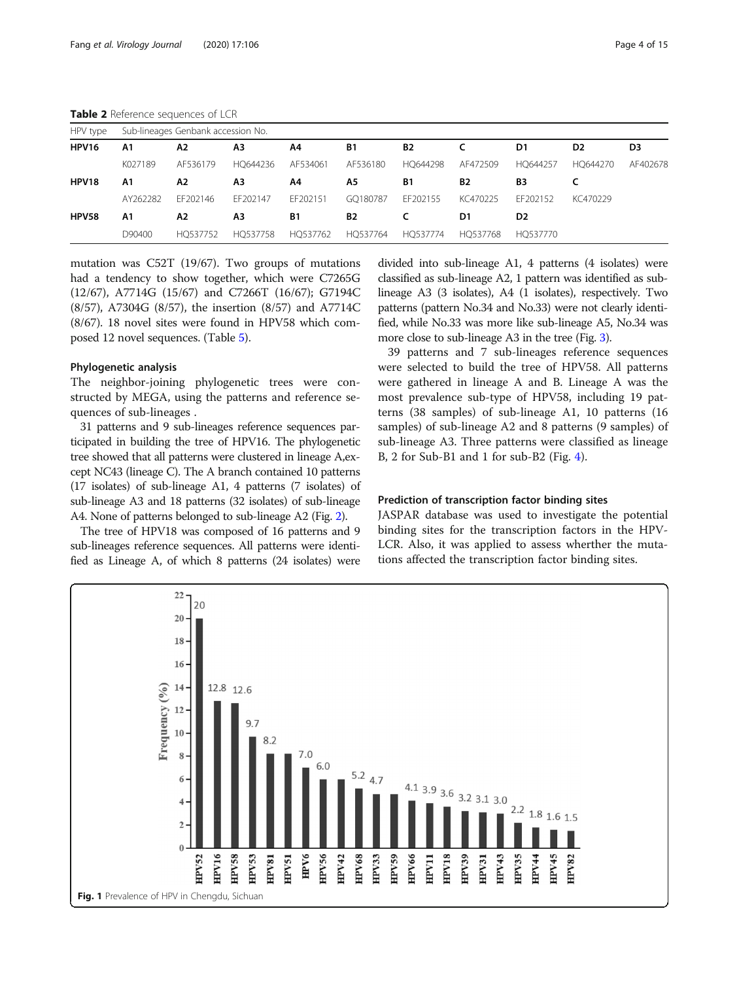<span id="page-3-0"></span>Table 2 Reference sequences of LCR

| HPV type |                | Sub-lineages Genbank accession No. |          |           |           |           |           |                |                |                |
|----------|----------------|------------------------------------|----------|-----------|-----------|-----------|-----------|----------------|----------------|----------------|
| HPV16    | A <sub>1</sub> | Α2                                 | A3       | A4        | <b>B1</b> | <b>B2</b> |           | D1             | D <sub>2</sub> | D <sub>3</sub> |
|          | K027189        | AF536179                           | HO644236 | AF534061  | AF536180  | HO644298  | AF472509  | HO644257       | HO644270       | AF402678       |
| HPV18    | A1             | Α2                                 | A3       | A4        | Α5        | B1        | <b>B2</b> | B3             |                |                |
|          | AY262282       | FF202146                           | FF202147 | FF202151  | GO180787  | FF202155  | KC470225  | FF202152       | KC470229       |                |
| HPV58    | A1             | Α2                                 | A3       | <b>B1</b> | <b>B2</b> |           | D1        | D <sub>2</sub> |                |                |
|          | D90400         | HO537752                           | HO537758 | HO537762  | HO537764  | HQ537774  | HO537768  | HO537770       |                |                |

mutation was C52T (19/67). Two groups of mutations had a tendency to show together, which were C7265G (12/67), A7714G (15/67) and C7266T (16/67); G7194C (8/57), A7304G (8/57), the insertion (8/57) and A7714C (8/67). 18 novel sites were found in HPV58 which composed 12 novel sequences. (Table [5](#page-7-0)).

#### Phylogenetic analysis

The neighbor-joining phylogenetic trees were constructed by MEGA, using the patterns and reference sequences of sub-lineages .

31 patterns and 9 sub-lineages reference sequences participated in building the tree of HPV16. The phylogenetic tree showed that all patterns were clustered in lineage A,except NC43 (lineage C). The A branch contained 10 patterns (17 isolates) of sub-lineage A1, 4 patterns (7 isolates) of sub-lineage A3 and 18 patterns (32 isolates) of sub-lineage A4. None of patterns belonged to sub-lineage A2 (Fig. [2](#page-9-0)).

The tree of HPV18 was composed of 16 patterns and 9 sub-lineages reference sequences. All patterns were identified as Lineage A, of which 8 patterns (24 isolates) were divided into sub-lineage A1, 4 patterns (4 isolates) were classified as sub-lineage A2, 1 pattern was identified as sublineage A3 (3 isolates), A4 (1 isolates), respectively. Two patterns (pattern No.34 and No.33) were not clearly identified, while No.33 was more like sub-lineage A5, No.34 was more close to sub-lineage A3 in the tree (Fig. [3](#page-10-0)).

39 patterns and 7 sub-lineages reference sequences were selected to build the tree of HPV58. All patterns were gathered in lineage A and B. Lineage A was the most prevalence sub-type of HPV58, including 19 patterns (38 samples) of sub-lineage A1, 10 patterns (16 samples) of sub-lineage A2 and 8 patterns (9 samples) of sub-lineage A3. Three patterns were classified as lineage B, 2 for Sub-B1 and 1 for sub-B2 (Fig. [4](#page-11-0)).

#### Prediction of transcription factor binding sites

JASPAR database was used to investigate the potential binding sites for the transcription factors in the HPV-LCR. Also, it was applied to assess wherther the mutations affected the transcription factor binding sites.

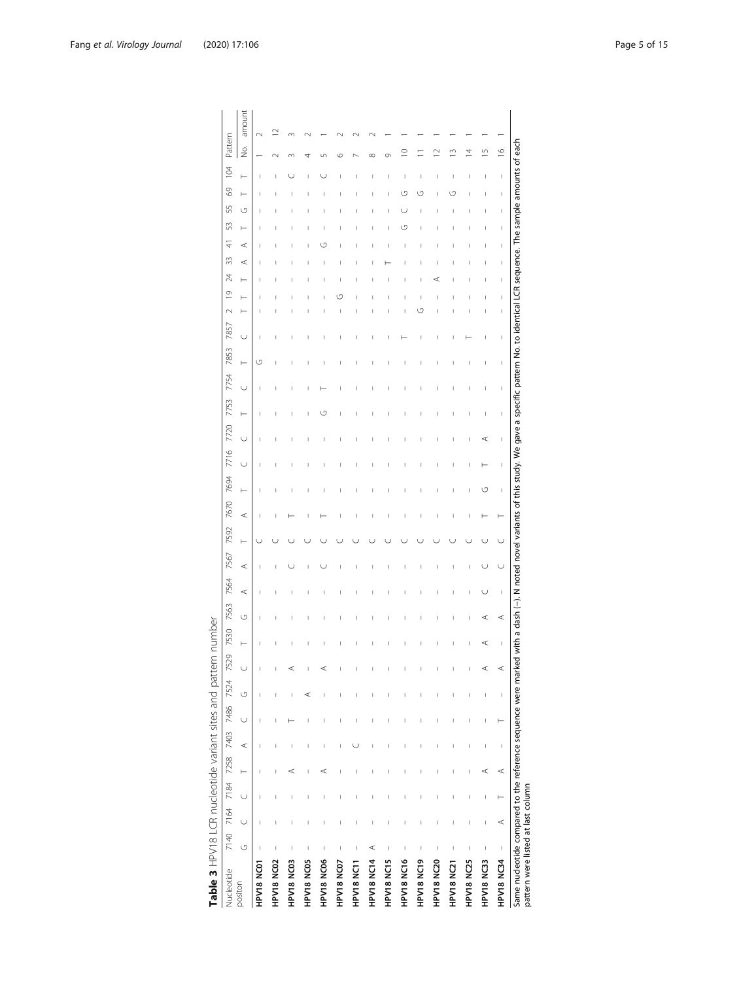<span id="page-4-0"></span>

| Nucleotide        |         | 7140 7164 | 7184   | 7258     |   |        | 7403 7486 7524 | 7529   | 7530 | 7563 | 7564    | 7567    | 7592 | 7670 | 7694 | 7716   | 7720   | 7753 | 7754        | 7853 | $\sim$<br>7857 | $\overline{0}$ | 24 | 33     | 53<br>4      | 55 | $\mathcal{S}^{\circ}$ | 104 | Pattern        |        |
|-------------------|---------|-----------|--------|----------|---|--------|----------------|--------|------|------|---------|---------|------|------|------|--------|--------|------|-------------|------|----------------|----------------|----|--------|--------------|----|-----------------------|-----|----------------|--------|
| positon           | $\circ$ | $\cup$    | $\cup$ | $\vdash$ | ⋖ | $\cup$ | U              | $\cup$ | ⊢    | O    | $\prec$ | $\prec$ | Н    | ⋖    | ⊢    | $\cup$ | $\cup$ | ⊢    | Н<br>$\cup$ | U    | ⊢              |                |    | ⋖      | ⊢<br>$\prec$ | O  | ⊢                     | H   | ġ              | amount |
| HPV18 NC01        | I       |           | I      |          |   |        |                |        |      |      |         |         |      |      |      |        |        |      | ن           |      |                |                |    |        |              |    |                       |     |                | $\sim$ |
| HPV18 NC02        |         |           |        |          |   |        |                | I      |      |      |         |         |      |      |      |        |        |      | I<br>I      |      |                |                |    |        |              |    |                       |     | ↘              | $\sim$ |
| HPV18 NC03        |         |           |        | ⋖        |   |        |                | ⋖      |      |      |         |         |      |      |      |        |        |      |             |      |                |                |    |        |              |    |                       |     | ↶              | m      |
| HPV18 NC05        |         |           |        |          |   |        | ⋖              | Ï      |      |      |         |         |      |      | ı    |        |        |      | ı           |      |                |                |    |        |              |    |                       |     |                |        |
| HPV18 NC06        | I       |           |        | ⋖        |   |        |                | ⋖      |      |      |         |         |      |      |      |        |        | ٣    |             |      |                |                |    |        | п            |    |                       |     |                |        |
| HPV18 NC07        | I       |           |        |          |   |        |                |        |      |      |         |         |      |      |      |        |        |      |             |      |                | г              |    |        |              |    |                       |     | c              |        |
| HPV18 NC11        |         |           |        |          |   |        |                |        |      |      |         |         |      |      |      |        |        |      |             |      |                |                |    |        |              |    |                       |     |                |        |
| HPV18 NC14        | ⋖       |           |        |          |   |        |                |        |      |      |         |         |      |      |      |        |        |      | I           |      |                |                |    |        |              |    |                       |     | $\infty$       |        |
| HPV18 NC15        | I       |           |        |          |   |        |                |        |      |      |         | I       |      |      |      |        |        |      | I           |      |                |                |    |        |              |    | 1                     |     | Ō              |        |
| HPV18 NC16        | I       |           |        |          |   |        |                |        |      |      |         |         |      |      |      |        |        |      |             |      |                |                |    |        | C٦           |    | ロ                     |     | $\subseteq$    |        |
| HPV18 NC19        | I       |           |        |          |   |        |                |        |      |      |         |         |      |      |      |        |        |      |             |      | ن              |                |    |        |              |    | J.                    |     |                |        |
| HPV18 NC20        |         |           |        |          |   |        |                |        |      |      |         |         |      |      |      |        |        |      |             |      |                |                |    |        |              |    |                       |     |                |        |
| HPV18 NC21        |         |           |        |          |   |        |                |        |      |      |         |         |      |      |      |        |        |      |             |      |                |                |    |        |              |    | G                     |     | ≅              |        |
| HPV18 NC25        | I       |           | I      | I        | Ï | I      |                | I      | Ï    | Ï    | I       | I       |      |      | I    | I      | I      | I    | I<br>I      |      |                |                |    |        |              |    |                       |     | $\overline{4}$ |        |
| <b>HPV18 NC33</b> | I       | I         | I      | ⋖        |   | I      | I              | ⋖      | ⋖    | ⋖    |         |         |      |      | G    |        | ⋖      |      | I<br>I      |      |                |                |    |        |              |    |                       |     | m              |        |
| HPV18 NC34        | $\mid$  | ⋖         | ŀ      | $\prec$  | I | ŀ      | I              | ⋖      | I    | ⋖    | I       | U       | U    | ŀ    | I    | I      | I      | I    | I<br>I      | I.   | I              | I              | ī  | ī<br>ī | I            | I  | ī                     | I   | $\frac{6}{1}$  |        |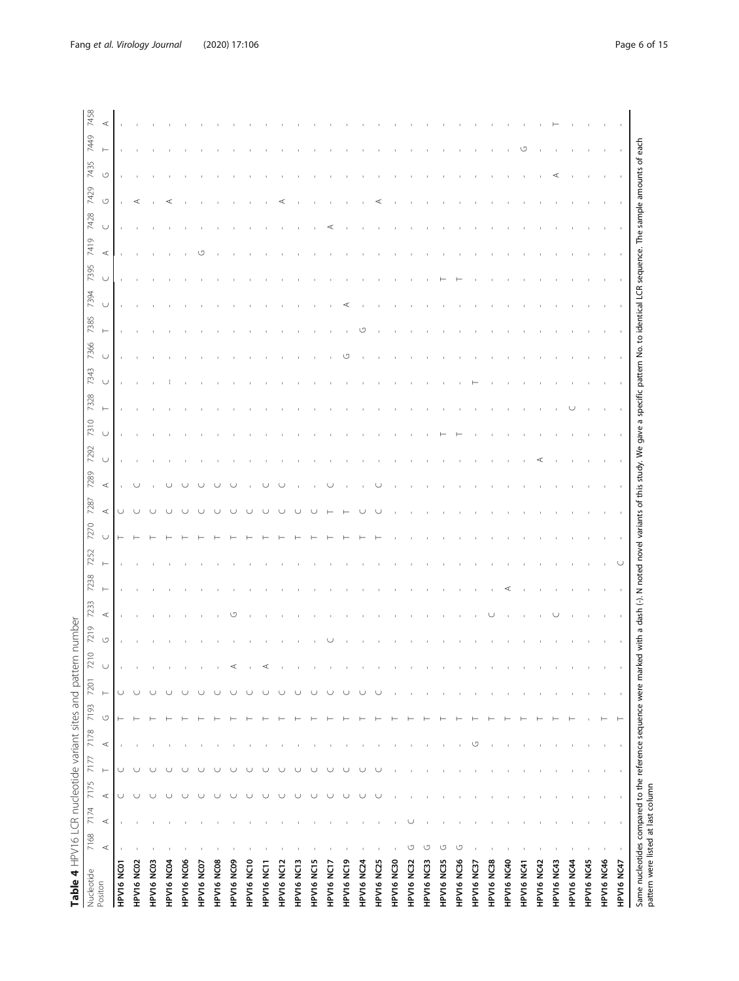<span id="page-5-0"></span>

| Nucleotide        |         | 7168 7174 7175 |         | 7177          | 7178  | 7193               | 7201     | $\circ$<br>$\mathbb{Z}$ | 7219               | 7233    | 7238 | 7252 | 7270 | 7287    | 7289              | 7310<br>7292 | 7328 | 7343   | 7366   | 7385     | 7394   | 7395   | 7419    | 7428   | 7429 | 7435    | 7449 |
|-------------------|---------|----------------|---------|---------------|-------|--------------------|----------|-------------------------|--------------------|---------|------|------|------|---------|-------------------|--------------|------|--------|--------|----------|--------|--------|---------|--------|------|---------|------|
| Positon           | $\prec$ | $\prec$        | $\prec$ | $\longmapsto$ | $\,<$ | $\circlearrowleft$ | $\vdash$ | $\cup$                  | $\circlearrowleft$ | $\prec$ |      |      |      | $\prec$ | $\cup$<br>$\prec$ | $\cup$       |      | $\cup$ | $\cup$ | $\vdash$ | $\cup$ | $\cup$ | $\prec$ | $\cup$ | U    | $\circ$ |      |
| HPV16 NC01        |         |                | U       | U             |       |                    | $\cup$   |                         |                    |         |      |      |      |         |                   |              |      |        |        |          |        |        |         |        |      |         |      |
| HPV16 NC02        |         |                |         | U             |       |                    |          |                         |                    |         |      |      |      |         |                   |              |      |        |        |          |        |        |         |        |      |         |      |
| HPV16 NC03        |         |                |         | U             |       |                    |          |                         |                    |         |      |      |      |         |                   |              |      |        |        |          |        |        |         |        |      |         |      |
| HPV16 NC04        |         |                |         |               |       |                    |          |                         |                    |         |      |      |      |         |                   |              |      |        |        |          |        |        |         |        |      |         |      |
| HPV16 NC06        |         |                |         |               |       |                    |          |                         |                    |         |      |      |      |         |                   |              |      |        |        |          |        |        |         |        |      |         |      |
| HPV16 NC07        |         |                |         |               |       |                    |          |                         |                    |         |      |      |      |         |                   |              |      |        |        |          |        |        |         |        |      |         |      |
| HPV16 NC08        |         |                |         |               |       |                    |          |                         |                    |         |      |      |      |         |                   |              |      |        |        |          |        |        |         |        |      |         |      |
| HPV16 NC09        |         |                |         |               |       |                    |          | ⋖                       |                    |         |      |      |      |         |                   |              |      |        |        |          |        |        |         |        |      |         |      |
| HPV16 NC10        |         |                |         |               |       |                    |          |                         |                    |         |      |      |      |         |                   |              |      |        |        |          |        |        |         |        |      |         |      |
| HPV16 NC11        |         |                |         | U             |       |                    |          | ⋖                       |                    |         |      |      |      |         |                   |              |      |        |        |          |        |        |         |        |      |         |      |
| HPV16 NC12        |         |                |         | U             |       |                    |          |                         |                    |         |      |      |      |         |                   |              |      |        |        |          |        |        |         |        |      |         |      |
| HPV16 NC13        |         |                |         | U             |       |                    |          |                         |                    |         |      |      |      |         |                   |              |      |        |        |          |        |        |         |        |      |         |      |
| HPV16 NC15        |         |                |         | U             |       |                    |          |                         |                    |         |      |      |      |         |                   |              |      |        |        |          |        |        |         |        |      |         |      |
| HPV16 NC17        |         |                | U       | U             |       |                    |          |                         |                    |         |      |      |      |         |                   |              |      |        |        |          |        |        |         |        |      |         |      |
| HPV16 NC19        |         |                |         | U             |       |                    |          |                         |                    |         |      |      |      |         |                   |              |      |        |        |          |        |        |         |        |      |         |      |
| <b>HPV16 NC24</b> |         |                |         | ◡             |       |                    |          |                         |                    |         |      |      |      |         |                   |              |      |        |        |          |        |        |         |        |      |         |      |
| HPV16 NC25        |         |                |         |               |       |                    |          |                         |                    |         |      |      |      |         |                   |              |      |        |        |          |        |        |         |        |      |         |      |
| HPV16 NC30        |         |                |         |               |       |                    |          |                         |                    |         |      |      |      |         |                   |              |      |        |        |          |        |        |         |        |      |         |      |
| HPV16 NC32        | U       |                |         |               |       |                    |          |                         |                    |         |      |      |      |         |                   |              |      |        |        |          |        |        |         |        |      |         |      |
| HPV16 NC33        | ↺       |                |         |               |       |                    |          |                         |                    |         |      |      |      |         |                   |              |      |        |        |          |        |        |         |        |      |         |      |
| HPV16 NC35        | U       |                |         |               |       |                    |          |                         |                    |         |      |      |      |         |                   |              |      |        |        |          |        |        |         |        |      |         |      |
| HPV16 NC36        | U       |                |         |               |       |                    |          |                         |                    |         |      |      |      |         |                   |              |      |        |        |          |        |        |         |        |      |         |      |
| HPV16 NC37        |         |                |         |               | ↺     |                    |          |                         |                    |         |      |      |      |         |                   |              |      |        |        |          |        |        |         |        |      |         |      |
| HPV16 NC38        |         |                |         |               |       |                    |          |                         |                    |         |      |      |      |         |                   |              |      |        |        |          |        |        |         |        |      |         |      |
| HPV16 NC40        |         |                |         |               |       |                    |          |                         |                    |         |      |      |      |         |                   |              |      |        |        |          |        |        |         |        |      |         |      |
| HPV16 NC41        |         |                |         |               |       |                    |          |                         |                    |         |      |      |      |         |                   |              |      |        |        |          |        |        |         |        |      |         |      |
| <b>HPV16 NC42</b> |         |                |         |               |       |                    |          |                         |                    |         |      |      |      |         |                   |              |      |        |        |          |        |        |         |        |      |         |      |
| <b>HPV16 NC43</b> |         |                |         |               |       |                    |          |                         |                    |         |      |      |      |         |                   |              |      |        |        |          |        |        |         |        |      |         |      |
| HPV16 NC44        |         |                |         |               |       |                    |          |                         |                    |         |      |      |      |         |                   |              |      |        |        |          |        |        |         |        |      |         |      |
| HPV16 NC45        |         |                |         |               |       |                    |          |                         |                    |         |      |      |      |         |                   |              |      |        |        |          |        |        |         |        |      |         |      |
| HPV16 NC46        |         |                |         |               |       |                    |          |                         |                    |         |      |      |      |         |                   |              |      |        |        |          |        |        |         |        |      |         |      |
| HPV16 NC47        |         |                |         |               |       |                    |          |                         |                    |         |      |      |      |         |                   |              |      |        |        |          |        |        |         |        |      |         |      |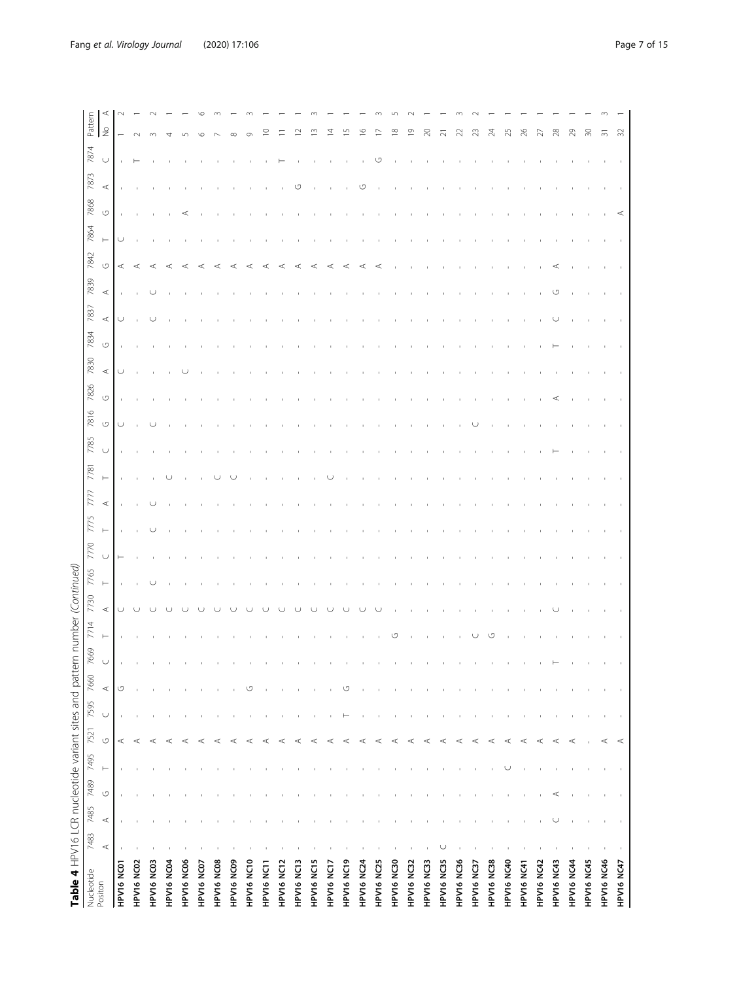| Table 4 HPV16 LCR nucleotide variant sites and pattern number |           |         |                    |               |         |        |         |     |          | (Continued) |                    |             |         |      |        |                    |                    |                  |                    |              |         |          |         |         |                |             |
|---------------------------------------------------------------|-----------|---------|--------------------|---------------|---------|--------|---------|-----|----------|-------------|--------------------|-------------|---------|------|--------|--------------------|--------------------|------------------|--------------------|--------------|---------|----------|---------|---------|----------------|-------------|
| Nucleotide<br>Positon                                         | 7483      | 7485    |                    | 7489 7495     | 7521    | 7595   | 7660    | 669 | 7714     | 7730        | 7765               | 775<br>7770 | 777     | 7781 | 7785   | 7816               | 7826               | 7830             | 7834               | 7839<br>7837 | 7842    | 7864     | 7868    | 7873    | 7874           | Pattern     |
|                                                               | $\prec$   | $\prec$ | $\circlearrowleft$ | $\longmapsto$ | U       | $\cup$ | $\prec$ |     | $\vdash$ | $\prec$     | $\cup$<br>$\vdash$ | $\vdash$    | $\prec$ | Н    | $\cup$ | $\circlearrowleft$ | $\circlearrowleft$ | $\prec$          | $\prec$<br>$\circ$ | $\prec$      | $\circ$ | $\vdash$ | $\circ$ | $\prec$ | $\cup$         | ⋖<br>$\geq$ |
| HPV16 NC01                                                    |           |         |                    |               | $\prec$ |        | U       |     |          |             | $\vdash$           |             |         |      |        | U                  |                    | $\mathfrak{c}$ . | $\cup$             |              | $\prec$ | $\cup$   |         |         |                |             |
| HPV16 NC02                                                    |           |         |                    |               | ⋖       |        |         |     |          |             |                    |             |         |      |        |                    |                    |                  |                    |              | ⋖       |          |         |         |                |             |
| HPV16 NC03                                                    |           |         |                    |               | ⋖       |        |         |     |          |             |                    |             |         |      |        |                    |                    |                  |                    |              | ⋖       |          |         |         |                |             |
| HPV16 NC04                                                    |           |         |                    |               | ⋖       |        |         |     |          |             |                    |             |         |      |        |                    |                    |                  |                    |              | ⋖       |          |         |         |                |             |
| HPV16 NC06                                                    |           |         |                    |               | ⋖       |        |         |     |          |             |                    |             |         |      |        |                    |                    |                  |                    |              | ⋖       |          |         |         |                |             |
| HPV16 NC07                                                    |           |         |                    |               | ⋖       |        |         |     |          |             |                    |             |         |      |        |                    |                    |                  |                    |              | ⋖       |          |         |         |                |             |
| HPV16 NC08                                                    |           |         |                    |               | ⋖       |        |         |     |          |             |                    |             |         |      |        |                    |                    |                  |                    |              |         |          |         |         |                |             |
| HPV16 NC09                                                    |           |         |                    |               | ⋖       |        |         |     |          |             |                    |             |         |      |        |                    |                    |                  |                    |              | ⋖       |          |         |         |                |             |
| HPV16 NC10                                                    |           |         |                    |               | ⋖       |        | U       |     |          |             |                    |             |         |      |        |                    |                    |                  |                    |              |         |          |         |         |                |             |
| HPV16 NC11                                                    |           |         |                    |               | ⋖       |        |         |     |          |             |                    |             |         |      |        |                    |                    |                  |                    |              |         |          |         |         |                |             |
| HPV16 NC12                                                    |           |         |                    |               | ⋖       |        |         |     |          |             |                    |             |         |      |        |                    |                    |                  |                    |              |         |          |         |         |                |             |
| HPV16 NC13                                                    |           |         |                    |               | ⋖       |        |         |     |          |             |                    |             |         |      |        |                    |                    |                  |                    |              | ⋖       |          |         |         |                |             |
| HPV16 NC15                                                    |           |         |                    |               | ⋖       |        |         |     |          |             |                    |             |         |      |        |                    |                    |                  |                    |              | ∢       |          |         |         |                |             |
| HPV16 NC17                                                    |           |         |                    |               | ⋖       |        |         |     |          |             |                    |             |         |      |        |                    |                    |                  |                    |              | ⋖       |          |         |         |                |             |
| HPV16 NC19                                                    |           |         |                    |               | ⋖       |        | U       |     |          |             |                    |             |         |      |        |                    |                    |                  |                    |              | ⋖       |          |         |         |                |             |
| HPV16 NC24                                                    |           |         |                    |               | ⋖       |        |         |     |          |             |                    |             |         |      |        |                    |                    |                  |                    |              | ⋖       |          |         | ↺       |                |             |
| HPV16 NC25                                                    |           |         |                    |               | ⋖       |        |         |     |          |             |                    |             |         |      |        |                    |                    |                  |                    |              | ⋖       |          |         |         |                |             |
| HPV16 NC30                                                    |           |         |                    |               | ⋖       |        |         |     |          |             |                    |             |         |      |        |                    |                    |                  |                    |              |         |          |         |         |                |             |
| <b>HPV16 NC32</b>                                             |           |         |                    |               | ⋖       |        |         |     |          |             |                    |             |         |      |        |                    |                    |                  |                    |              |         |          |         |         |                |             |
| HPV16 NC33                                                    |           |         |                    |               | ⋖       |        |         |     |          |             |                    |             |         |      |        |                    |                    |                  |                    |              |         |          |         |         |                |             |
| HPV16 NC35                                                    | U         |         |                    |               | ⋖       |        |         |     |          |             |                    |             |         |      |        |                    |                    |                  |                    |              |         |          |         |         |                |             |
| HPV16 NC36                                                    |           |         |                    |               | ⋖       |        |         |     |          |             |                    |             |         |      |        |                    |                    |                  |                    |              |         |          |         |         |                |             |
| HPV16 NC37                                                    |           |         |                    |               | ⋖       |        |         |     |          |             |                    |             |         |      |        |                    |                    |                  |                    |              |         |          |         |         |                |             |
| <b>HPV16 NC38</b>                                             |           |         |                    |               | ⋖       |        |         |     |          |             |                    |             |         |      |        |                    |                    |                  |                    |              |         |          |         |         |                |             |
| <b>HPV16 NC40</b>                                             |           |         |                    | U             | ⋖       |        |         |     |          |             |                    |             |         |      |        |                    |                    |                  |                    |              |         |          |         |         |                |             |
| HPV16 NC41                                                    |           |         |                    |               | ⋖       |        |         |     |          |             |                    |             |         |      |        |                    |                    |                  |                    |              |         |          |         |         |                |             |
| <b>HPV16 NC42</b>                                             |           |         |                    |               | $\prec$ |        |         |     |          |             |                    |             |         |      |        |                    |                    |                  |                    |              |         |          |         |         |                |             |
| <b>HPV16 NC43</b>                                             |           | ◡       | ⋖                  |               | $\prec$ |        |         |     |          |             |                    |             |         |      |        |                    | ⋖                  |                  |                    | ↺            |         |          |         |         |                |             |
| HPV16 NC44                                                    |           |         |                    |               | $\prec$ |        |         |     |          |             |                    |             |         |      |        |                    |                    |                  |                    |              |         |          |         |         |                |             |
| HPV16 NC45                                                    |           |         |                    |               |         |        |         |     |          |             |                    |             |         |      |        |                    |                    |                  |                    |              |         |          |         |         |                | R           |
| HPV16 NC46                                                    |           |         |                    |               | $\prec$ |        |         |     |          |             |                    |             |         |      |        |                    |                    |                  |                    |              |         |          |         |         | $\overline{5}$ |             |
| HPV16 NC47                                                    | $\,$ $\,$ |         |                    |               | ⋖       |        |         |     |          |             |                    |             |         |      |        |                    |                    |                  |                    |              |         |          | ⋖       |         |                | ≳           |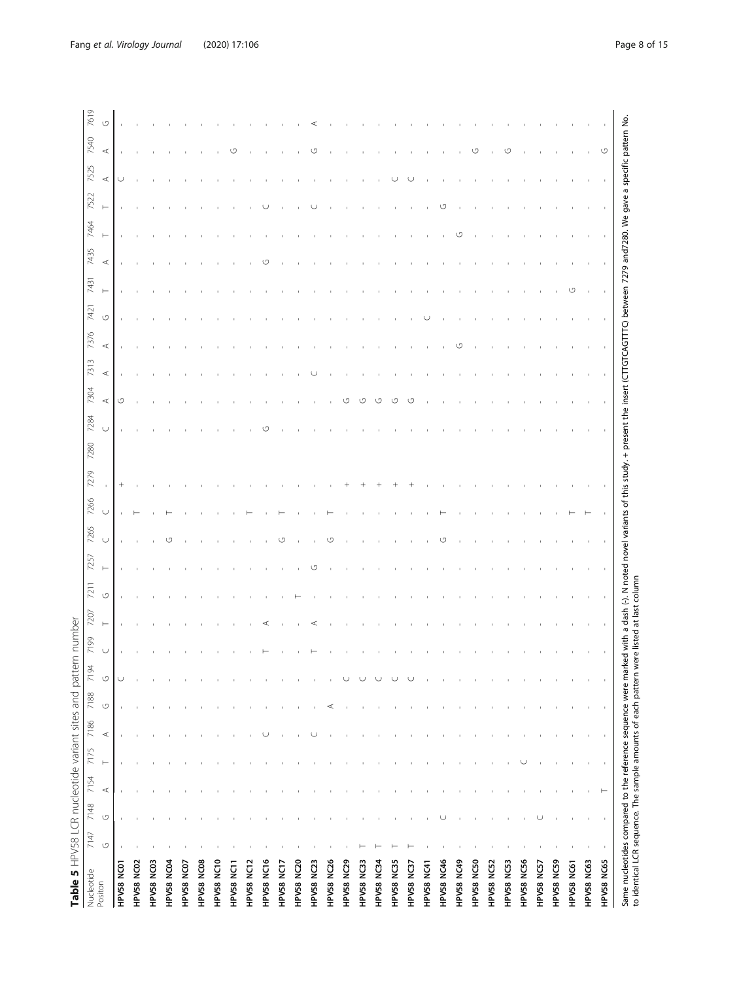<span id="page-7-0"></span>

| ⋖<br>$\,<$<br>↺<br>U<br>$^{+}$<br>$\cup$<br>$\cup$<br>U<br>$\cup$<br>$\circlearrowleft$<br>U<br>$\circlearrowleft$<br>⋖<br>$\prec$<br>$\vdash$<br>$\prec$<br>$\circlearrowleft$<br>$\circlearrowleft$<br>HPV58 NC16<br>HPV58 NC20<br>HPV58 NC26<br>HPV58 NC56<br>HPV58 NC59<br>HPV58 NC08<br>HPV58 NC10<br>HPV58 NC29<br>HPV58 NC46<br>HPV58 NC49<br>HPV58 NC50<br>HPV58 NC02<br>HPV58 NC03<br>HPV58 NC04<br>HPV58 NC12<br>HPV58 NC17<br>HPV58 NC23<br>HPV58 NC33<br>HPV58 NC34<br>HPV58 NC35<br>HPV58 NC52<br>HPV58 NC53<br>HPV58 NC61<br>HPV58 NC07<br>HPV58 NC57<br>HPV58 NC01<br>HPV58 NC11<br>HPV58 NC41<br>HPV58 NC37<br>Positon |  |              | 7431     | 7435    | 7464   | 7525<br>7522 | 7540 | 7619 |
|----------------------------------------------------------------------------------------------------------------------------------------------------------------------------------------------------------------------------------------------------------------------------------------------------------------------------------------------------------------------------------------------------------------------------------------------------------------------------------------------------------------------------------------------------------------------------------------------------------------------------------------|--|--------------|----------|---------|--------|--------------|------|------|
|                                                                                                                                                                                                                                                                                                                                                                                                                                                                                                                                                                                                                                        |  | O<br>$\prec$ | $\vdash$ | $\prec$ | Н<br>H | ⋖            | ⋖    | U    |
|                                                                                                                                                                                                                                                                                                                                                                                                                                                                                                                                                                                                                                        |  |              |          |         |        |              |      |      |
|                                                                                                                                                                                                                                                                                                                                                                                                                                                                                                                                                                                                                                        |  |              |          |         |        |              |      |      |
|                                                                                                                                                                                                                                                                                                                                                                                                                                                                                                                                                                                                                                        |  |              |          |         |        |              |      |      |
|                                                                                                                                                                                                                                                                                                                                                                                                                                                                                                                                                                                                                                        |  |              |          |         |        |              |      |      |
|                                                                                                                                                                                                                                                                                                                                                                                                                                                                                                                                                                                                                                        |  |              |          |         |        |              |      |      |
|                                                                                                                                                                                                                                                                                                                                                                                                                                                                                                                                                                                                                                        |  |              |          |         |        |              |      |      |
|                                                                                                                                                                                                                                                                                                                                                                                                                                                                                                                                                                                                                                        |  |              |          |         |        |              |      |      |
|                                                                                                                                                                                                                                                                                                                                                                                                                                                                                                                                                                                                                                        |  |              |          |         |        |              |      |      |
|                                                                                                                                                                                                                                                                                                                                                                                                                                                                                                                                                                                                                                        |  |              |          |         |        |              |      |      |
|                                                                                                                                                                                                                                                                                                                                                                                                                                                                                                                                                                                                                                        |  |              |          | U.      |        |              |      |      |
|                                                                                                                                                                                                                                                                                                                                                                                                                                                                                                                                                                                                                                        |  |              |          |         |        |              |      |      |
|                                                                                                                                                                                                                                                                                                                                                                                                                                                                                                                                                                                                                                        |  |              |          |         |        |              |      |      |
|                                                                                                                                                                                                                                                                                                                                                                                                                                                                                                                                                                                                                                        |  |              |          |         |        |              |      |      |
|                                                                                                                                                                                                                                                                                                                                                                                                                                                                                                                                                                                                                                        |  |              |          |         |        |              |      |      |
|                                                                                                                                                                                                                                                                                                                                                                                                                                                                                                                                                                                                                                        |  |              |          |         |        |              |      |      |
|                                                                                                                                                                                                                                                                                                                                                                                                                                                                                                                                                                                                                                        |  |              |          |         |        |              |      |      |
|                                                                                                                                                                                                                                                                                                                                                                                                                                                                                                                                                                                                                                        |  |              |          |         |        |              |      |      |
|                                                                                                                                                                                                                                                                                                                                                                                                                                                                                                                                                                                                                                        |  |              |          |         |        |              |      |      |
|                                                                                                                                                                                                                                                                                                                                                                                                                                                                                                                                                                                                                                        |  |              |          |         |        |              |      |      |
|                                                                                                                                                                                                                                                                                                                                                                                                                                                                                                                                                                                                                                        |  |              |          |         |        |              |      |      |
|                                                                                                                                                                                                                                                                                                                                                                                                                                                                                                                                                                                                                                        |  |              |          |         |        |              |      |      |
|                                                                                                                                                                                                                                                                                                                                                                                                                                                                                                                                                                                                                                        |  |              |          |         |        |              |      |      |
|                                                                                                                                                                                                                                                                                                                                                                                                                                                                                                                                                                                                                                        |  |              |          |         |        |              |      |      |
|                                                                                                                                                                                                                                                                                                                                                                                                                                                                                                                                                                                                                                        |  |              |          |         |        |              |      |      |
|                                                                                                                                                                                                                                                                                                                                                                                                                                                                                                                                                                                                                                        |  |              |          |         |        |              |      |      |
|                                                                                                                                                                                                                                                                                                                                                                                                                                                                                                                                                                                                                                        |  |              |          |         |        |              |      |      |
|                                                                                                                                                                                                                                                                                                                                                                                                                                                                                                                                                                                                                                        |  |              |          |         |        |              |      |      |
|                                                                                                                                                                                                                                                                                                                                                                                                                                                                                                                                                                                                                                        |  |              |          |         |        |              |      |      |
|                                                                                                                                                                                                                                                                                                                                                                                                                                                                                                                                                                                                                                        |  |              | ľ٦       |         |        |              |      |      |
| HPV58 NC63                                                                                                                                                                                                                                                                                                                                                                                                                                                                                                                                                                                                                             |  |              |          |         |        |              |      |      |
| ⊢<br>$\,$<br>HPV58 NC65                                                                                                                                                                                                                                                                                                                                                                                                                                                                                                                                                                                                                |  |              |          |         |        |              |      |      |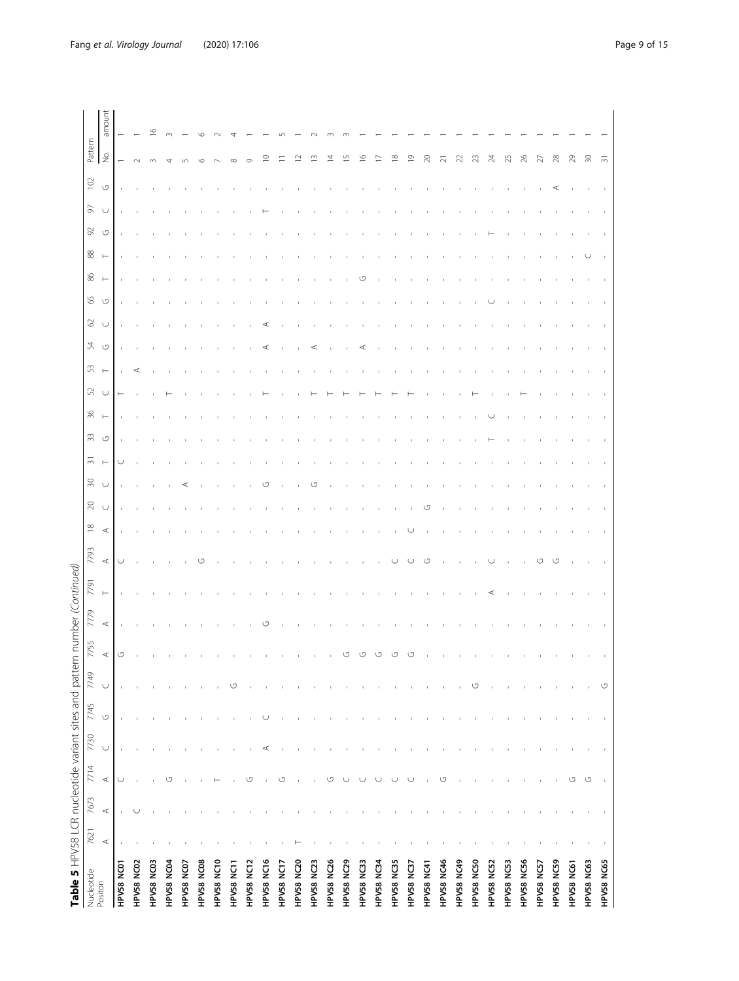| Table 5 HPV58 LCR nucleotide variant sites and pattern | 7621    | 7673    | 7714                | 7730   | 7745               | 7749   | 7755    | number (Continued)<br>7779 | 7791     | 7793    | $\frac{\infty}{2}$ | $\gtrsim$ | $\overline{\widetilde{\mathcal{C}}}$<br>$\approx$ | 33                 | $\%$     | 52     | 53       | 24                 | 65<br>$\mathcal{S}$          | 86       | 88       | 92      | 56     | $102$   | Pattern                  |        |
|--------------------------------------------------------|---------|---------|---------------------|--------|--------------------|--------|---------|----------------------------|----------|---------|--------------------|-----------|---------------------------------------------------|--------------------|----------|--------|----------|--------------------|------------------------------|----------|----------|---------|--------|---------|--------------------------|--------|
| Nucleotide<br>Positon                                  | $\prec$ | $\prec$ | $\prec$             | $\cup$ | $\circlearrowleft$ | $\cup$ | $\prec$ | $\prec$                    | $\vdash$ | $\prec$ | $\prec$            | $\cup$    | $\vdash$<br>$\cup$                                | $\circlearrowleft$ | $\vdash$ | $\cup$ | $\vdash$ | $\circlearrowleft$ | $\circlearrowleft$<br>$\cup$ | $\vdash$ | $\vdash$ | $\circ$ | $\cup$ | $\circ$ | $\stackrel{\circ}{\geq}$ | amount |
| HPV58 NC01                                             |         |         | U                   |        |                    |        | U       |                            |          | U       |                    |           | U                                                 |                    |          |        |          |                    |                              |          |          |         |        |         |                          |        |
| HPV58 NC02                                             |         |         |                     |        |                    |        |         |                            |          |         |                    |           |                                                   |                    |          |        | ⋖        |                    |                              |          |          |         |        |         |                          |        |
| HPV58 NC03                                             |         |         |                     |        |                    |        |         |                            |          |         |                    |           |                                                   |                    |          |        |          |                    |                              |          |          |         |        |         |                          | O      |
| HPV58 NC04                                             |         |         | U                   |        |                    |        |         |                            |          |         |                    |           |                                                   |                    |          |        |          |                    |                              |          |          |         |        |         |                          |        |
| HPV58 NC07                                             |         |         |                     |        |                    |        |         |                            |          |         |                    |           | ⋖                                                 |                    |          |        |          |                    |                              |          |          |         |        |         |                          |        |
| HPV58 NC08                                             |         |         |                     |        |                    |        |         |                            |          | ↺       |                    |           |                                                   |                    |          |        |          |                    |                              |          |          |         |        |         |                          |        |
| HPV58 NC10                                             |         |         |                     |        |                    |        |         |                            |          |         |                    |           |                                                   |                    |          |        |          |                    |                              |          |          |         |        |         |                          |        |
| HPV58 NC11                                             |         |         |                     |        |                    | ↺      |         |                            |          |         |                    |           |                                                   |                    |          |        |          |                    |                              |          |          |         |        |         |                          |        |
| HPV58 NC12                                             |         |         | U                   |        |                    |        |         |                            |          |         |                    |           |                                                   |                    |          |        |          |                    |                              |          |          |         |        |         |                          |        |
| HPV58 NC16                                             |         |         |                     | ⋖      |                    |        |         | ↺                          |          |         |                    |           | ↺                                                 |                    |          |        |          | ⋖                  |                              |          |          |         |        |         |                          |        |
| HPV58 NC17                                             |         |         | O                   |        |                    |        |         |                            |          |         |                    |           |                                                   |                    |          |        |          |                    |                              |          |          |         |        |         |                          |        |
| HPV58 NC20                                             |         |         |                     |        |                    |        |         |                            |          |         |                    |           |                                                   |                    |          |        |          |                    |                              |          |          |         |        |         |                          |        |
| HPV58 NC23                                             |         |         |                     |        |                    |        |         |                            |          |         |                    |           | U.                                                |                    |          |        |          |                    |                              |          |          |         |        |         |                          |        |
| HPV58 NC26                                             |         |         | U                   |        |                    |        |         |                            |          |         |                    |           |                                                   |                    |          |        |          |                    |                              |          |          |         |        |         | 4                        |        |
| HPV58 NC29                                             |         |         | ◡                   |        |                    |        |         |                            |          |         |                    |           |                                                   |                    |          |        |          |                    |                              |          |          |         |        |         |                          |        |
| HPV58 NC33                                             |         |         | ◡                   |        |                    |        |         |                            |          |         |                    |           |                                                   |                    |          |        |          |                    |                              |          |          |         |        |         | ७                        |        |
| HPV58 NC34                                             |         |         | U                   |        |                    |        |         |                            |          |         |                    |           |                                                   |                    |          |        |          |                    |                              |          |          |         |        |         |                          |        |
| HPV58 NC35                                             |         |         | U                   |        |                    |        |         |                            |          |         |                    |           |                                                   |                    |          |        |          |                    |                              |          |          |         |        |         | $^\infty$                |        |
| HPV58 NC37                                             |         |         | $\cup$              |        |                    |        |         |                            |          |         |                    |           |                                                   |                    |          |        |          |                    |                              |          |          |         |        |         | ᡡ                        |        |
| HPV58 NC41                                             |         |         |                     |        |                    |        |         |                            |          | ↺       |                    | СS        |                                                   |                    |          |        |          |                    |                              |          |          |         |        |         | g                        |        |
| HPV58 NC46                                             |         |         | U                   |        |                    |        |         |                            |          |         |                    |           |                                                   |                    |          |        |          |                    |                              |          |          |         |        |         | ಸ                        |        |
| HPV58 NC49                                             |         |         |                     |        |                    |        |         |                            |          |         |                    |           |                                                   |                    |          |        |          |                    |                              |          |          |         |        |         |                          |        |
| HPV58 NC50                                             |         |         |                     |        |                    | U      |         |                            |          |         |                    |           |                                                   |                    |          |        |          |                    |                              |          |          |         |        |         | ಇ                        |        |
| HPV58 NC52                                             |         |         |                     |        |                    |        |         |                            |          |         |                    |           |                                                   |                    |          |        |          |                    |                              |          |          |         |        |         | 24                       |        |
| HPV58 NC53                                             |         |         |                     |        |                    |        |         |                            |          |         |                    |           |                                                   |                    |          |        |          |                    |                              |          |          |         |        |         | 25                       |        |
| HPV58 NC56                                             |         |         |                     |        |                    |        |         |                            |          |         |                    |           |                                                   |                    |          |        |          |                    |                              |          |          |         |        |         | 26                       |        |
| HPV58 NC57                                             |         |         |                     |        |                    |        |         |                            |          | ιŋ      |                    |           |                                                   |                    |          |        |          |                    |                              |          |          |         |        |         | ₩                        |        |
| HPV58 NC59                                             |         |         |                     |        |                    |        |         |                            |          |         |                    |           |                                                   |                    |          |        |          |                    |                              |          |          |         |        |         | 28                       |        |
| HPV58 NC61                                             |         |         | $\circlearrowright$ |        |                    |        |         |                            |          |         |                    |           |                                                   |                    |          |        |          |                    |                              |          |          |         |        |         | 29                       |        |
| HPV58 NC63                                             |         |         | $\circlearrowleft$  |        |                    |        |         |                            |          |         |                    |           |                                                   |                    |          |        |          |                    |                              |          | U        |         |        |         | 20                       |        |
| HPV58 NC65                                             |         |         |                     |        |                    | O      |         |                            |          |         |                    |           |                                                   |                    |          |        |          |                    |                              |          |          |         |        |         | $\overline{5}$           |        |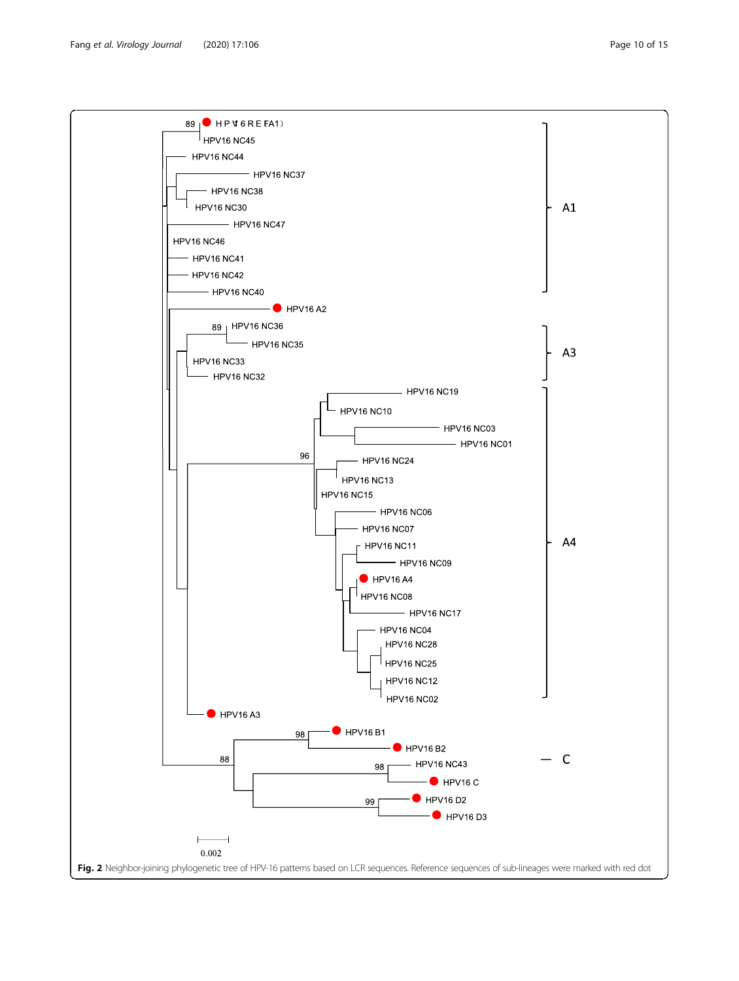<span id="page-9-0"></span>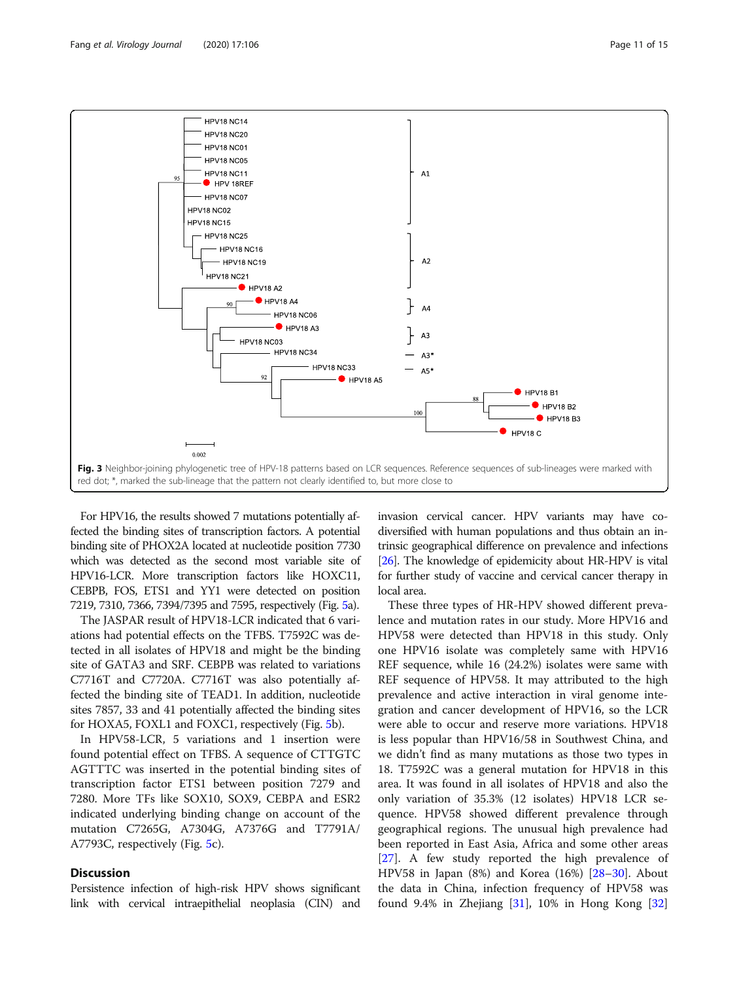<span id="page-10-0"></span>

For HPV16, the results showed 7 mutations potentially affected the binding sites of transcription factors. A potential binding site of PHOX2A located at nucleotide position 7730 which was detected as the second most variable site of HPV16-LCR. More transcription factors like HOXC11, CEBPB, FOS, ETS1 and YY1 were detected on position 7219, 7310, 7366, 7394/7395 and 7595, respectively (Fig. [5](#page-12-0)a).

The JASPAR result of HPV18-LCR indicated that 6 variations had potential effects on the TFBS. T7592C was detected in all isolates of HPV18 and might be the binding site of GATA3 and SRF. CEBPB was related to variations C7716T and C7720A. C7716T was also potentially affected the binding site of TEAD1. In addition, nucleotide sites 7857, 33 and 41 potentially affected the binding sites for HOXA5, FOXL1 and FOXC1, respectively (Fig. [5](#page-12-0)b).

In HPV58-LCR, 5 variations and 1 insertion were found potential effect on TFBS. A sequence of CTTGTC AGTTTC was inserted in the potential binding sites of transcription factor ETS1 between position 7279 and 7280. More TFs like SOX10, SOX9, CEBPA and ESR2 indicated underlying binding change on account of the mutation C7265G, A7304G, A7376G and T7791A/ A7793C, respectively (Fig. [5c](#page-12-0)).

#### **Discussion**

Persistence infection of high-risk HPV shows significant link with cervical intraepithelial neoplasia (CIN) and invasion cervical cancer. HPV variants may have codiversified with human populations and thus obtain an intrinsic geographical difference on prevalence and infections [[26](#page-13-0)]. The knowledge of epidemicity about HR-HPV is vital for further study of vaccine and cervical cancer therapy in local area.

These three types of HR-HPV showed different prevalence and mutation rates in our study. More HPV16 and HPV58 were detected than HPV18 in this study. Only one HPV16 isolate was completely same with HPV16 REF sequence, while 16 (24.2%) isolates were same with REF sequence of HPV58. It may attributed to the high prevalence and active interaction in viral genome integration and cancer development of HPV16, so the LCR were able to occur and reserve more variations. HPV18 is less popular than HPV16/58 in Southwest China, and we didn't find as many mutations as those two types in 18. T7592C was a general mutation for HPV18 in this area. It was found in all isolates of HPV18 and also the only variation of 35.3% (12 isolates) HPV18 LCR sequence. HPV58 showed different prevalence through geographical regions. The unusual high prevalence had been reported in East Asia, Africa and some other areas [[27\]](#page-13-0). A few study reported the high prevalence of HPV58 in Japan (8%) and Korea (16%) [[28](#page-13-0)–[30](#page-13-0)]. About the data in China, infection frequency of HPV58 was found 9.4% in Zhejiang  $[31]$  $[31]$  $[31]$ , 10% in Hong Kong  $[32]$  $[32]$  $[32]$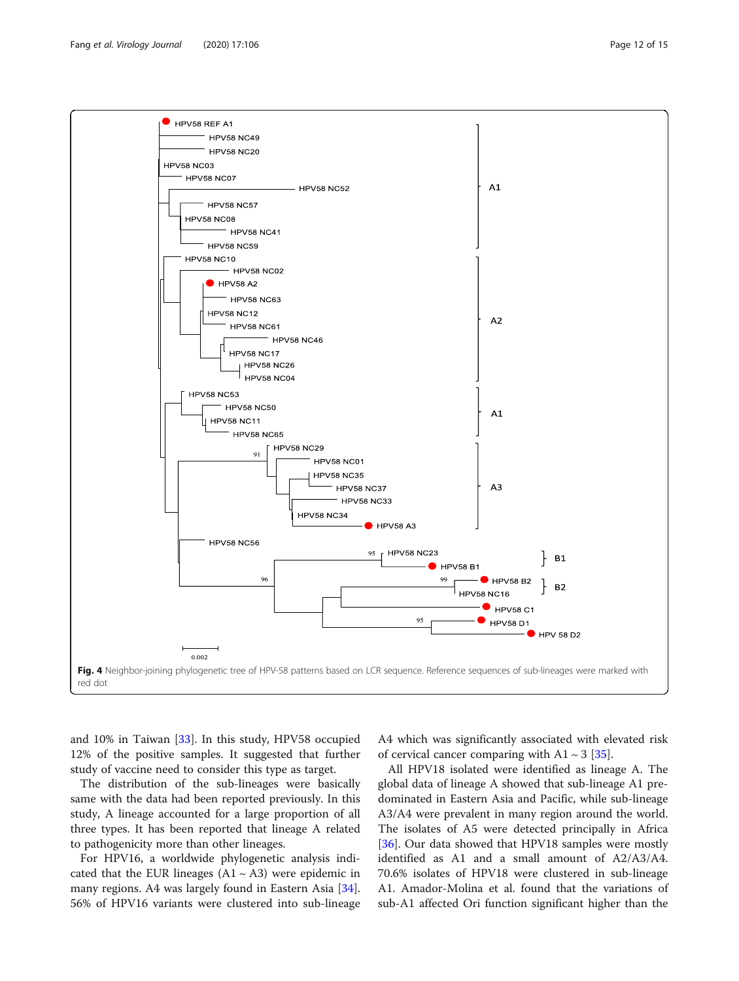<span id="page-11-0"></span>

and 10% in Taiwan [[33\]](#page-14-0). In this study, HPV58 occupied 12% of the positive samples. It suggested that further study of vaccine need to consider this type as target.

The distribution of the sub-lineages were basically same with the data had been reported previously. In this study, A lineage accounted for a large proportion of all three types. It has been reported that lineage A related to pathogenicity more than other lineages.

For HPV16, a worldwide phylogenetic analysis indicated that the EUR lineages  $(A1 \sim A3)$  were epidemic in many regions. A4 was largely found in Eastern Asia [\[34](#page-14-0)]. 56% of HPV16 variants were clustered into sub-lineage

A4 which was significantly associated with elevated risk of cervical cancer comparing with  $A1 \sim 3$  [\[35](#page-14-0)].

All HPV18 isolated were identified as lineage A. The global data of lineage A showed that sub-lineage A1 predominated in Eastern Asia and Pacific, while sub-lineage A3/A4 were prevalent in many region around the world. The isolates of A5 were detected principally in Africa [[36\]](#page-14-0). Our data showed that HPV18 samples were mostly identified as A1 and a small amount of A2/A3/A4. 70.6% isolates of HPV18 were clustered in sub-lineage A1. Amador-Molina et al. found that the variations of sub-A1 affected Ori function significant higher than the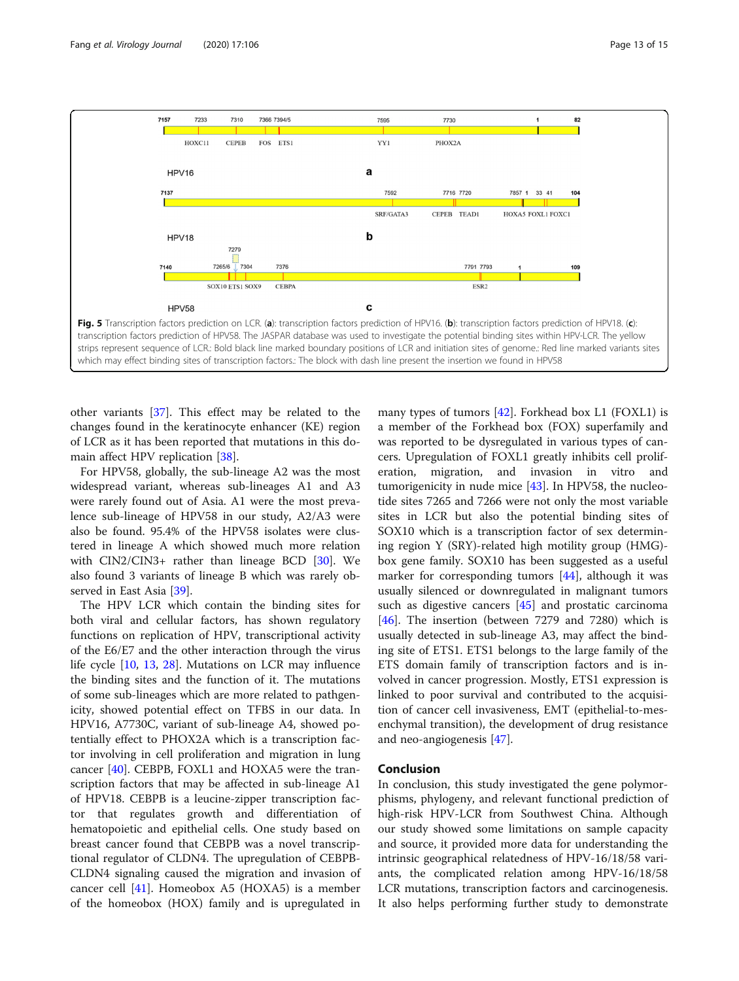<span id="page-12-0"></span>

other variants [[37\]](#page-14-0). This effect may be related to the changes found in the keratinocyte enhancer (KE) region of LCR as it has been reported that mutations in this domain affect HPV replication [[38](#page-14-0)].

For HPV58, globally, the sub-lineage A2 was the most widespread variant, whereas sub-lineages A1 and A3 were rarely found out of Asia. A1 were the most prevalence sub-lineage of HPV58 in our study, A2/A3 were also be found. 95.4% of the HPV58 isolates were clustered in lineage A which showed much more relation with CIN2/CIN3+ rather than lineage BCD [[30](#page-13-0)]. We also found 3 variants of lineage B which was rarely observed in East Asia [\[39\]](#page-14-0).

The HPV LCR which contain the binding sites for both viral and cellular factors, has shown regulatory functions on replication of HPV, transcriptional activity of the E6/E7 and the other interaction through the virus life cycle [[10,](#page-13-0) [13,](#page-13-0) [28](#page-13-0)]. Mutations on LCR may influence the binding sites and the function of it. The mutations of some sub-lineages which are more related to pathgenicity, showed potential effect on TFBS in our data. In HPV16, A7730C, variant of sub-lineage A4, showed potentially effect to PHOX2A which is a transcription factor involving in cell proliferation and migration in lung cancer [[40\]](#page-14-0). CEBPB, FOXL1 and HOXA5 were the transcription factors that may be affected in sub-lineage A1 of HPV18. CEBPB is a leucine-zipper transcription factor that regulates growth and differentiation of hematopoietic and epithelial cells. One study based on breast cancer found that CEBPB was a novel transcriptional regulator of CLDN4. The upregulation of CEBPB-CLDN4 signaling caused the migration and invasion of cancer cell  $[41]$  $[41]$  $[41]$ . Homeobox A5 (HOXA5) is a member of the homeobox (HOX) family and is upregulated in

many types of tumors [\[42](#page-14-0)]. Forkhead box L1 (FOXL1) is a member of the Forkhead box (FOX) superfamily and was reported to be dysregulated in various types of cancers. Upregulation of FOXL1 greatly inhibits cell proliferation, migration, and invasion in vitro and tumorigenicity in nude mice  $[43]$  $[43]$ . In HPV58, the nucleotide sites 7265 and 7266 were not only the most variable sites in LCR but also the potential binding sites of SOX10 which is a transcription factor of sex determining region Y (SRY)-related high motility group (HMG) box gene family. SOX10 has been suggested as a useful marker for corresponding tumors [[44\]](#page-14-0), although it was usually silenced or downregulated in malignant tumors such as digestive cancers [[45\]](#page-14-0) and prostatic carcinoma [[46\]](#page-14-0). The insertion (between 7279 and 7280) which is usually detected in sub-lineage A3, may affect the binding site of ETS1. ETS1 belongs to the large family of the ETS domain family of transcription factors and is involved in cancer progression. Mostly, ETS1 expression is linked to poor survival and contributed to the acquisition of cancer cell invasiveness, EMT (epithelial-to-mesenchymal transition), the development of drug resistance and neo-angiogenesis [[47](#page-14-0)].

#### Conclusion

In conclusion, this study investigated the gene polymorphisms, phylogeny, and relevant functional prediction of high-risk HPV-LCR from Southwest China. Although our study showed some limitations on sample capacity and source, it provided more data for understanding the intrinsic geographical relatedness of HPV-16/18/58 variants, the complicated relation among HPV-16/18/58 LCR mutations, transcription factors and carcinogenesis. It also helps performing further study to demonstrate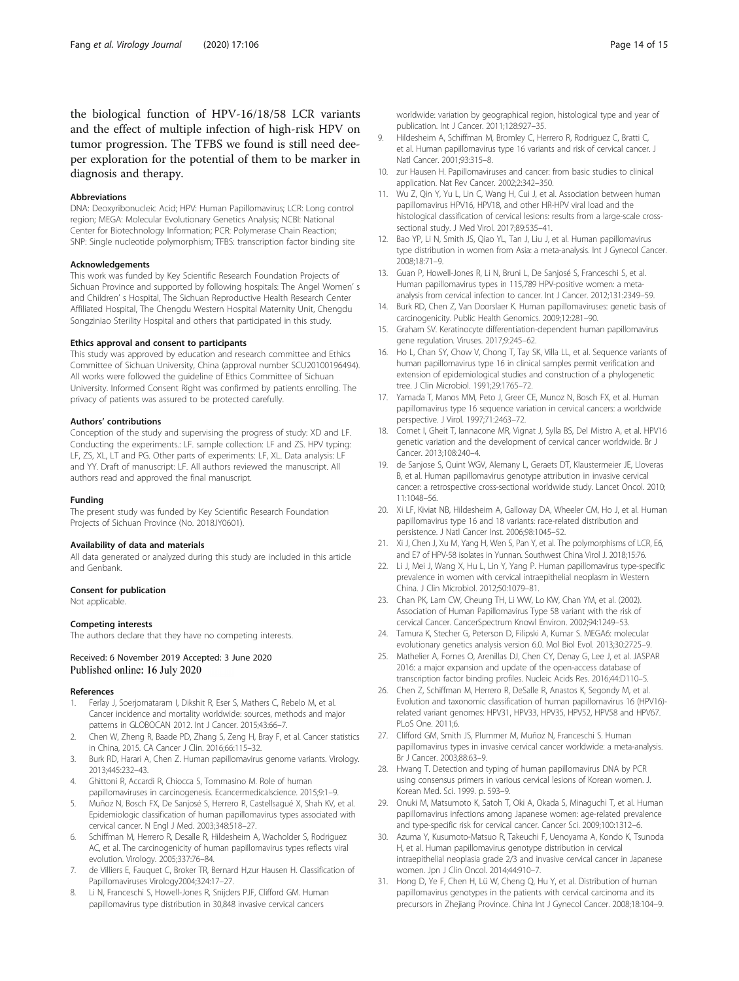<span id="page-13-0"></span>the biological function of HPV-16/18/58 LCR variants and the effect of multiple infection of high-risk HPV on tumor progression. The TFBS we found is still need deeper exploration for the potential of them to be marker in diagnosis and therapy.

#### Abbreviations

DNA: Deoxyribonucleic Acid; HPV: Human Papillomavirus; LCR: Long control region; MEGA: Molecular Evolutionary Genetics Analysis; NCBI: National Center for Biotechnology Information; PCR: Polymerase Chain Reaction; SNP: Single nucleotide polymorphism; TFBS: transcription factor binding site

#### Acknowledgements

This work was funded by Key Scientific Research Foundation Projects of Sichuan Province and supported by following hospitals: The Angel Women' s and Children' s Hospital, The Sichuan Reproductive Health Research Center Affiliated Hospital, The Chengdu Western Hospital Maternity Unit, Chengdu Songziniao Sterility Hospital and others that participated in this study.

#### Ethics approval and consent to participants

This study was approved by education and research committee and Ethics Committee of Sichuan University, China (approval number SCU20100196494). All works were followed the guideline of Ethics Committee of Sichuan University. Informed Consent Right was confirmed by patients enrolling. The privacy of patients was assured to be protected carefully.

#### Authors' contributions

Conception of the study and supervising the progress of study: XD and LF. Conducting the experiments.: LF. sample collection: LF and ZS. HPV typing: LF, ZS, XL, LT and PG. Other parts of experiments: LF, XL. Data analysis: LF and YY. Draft of manuscript: LF. All authors reviewed the manuscript. All authors read and approved the final manuscript.

#### Funding

The present study was funded by Key Scientific Research Foundation Projects of Sichuan Province (No. 2018JY0601).

#### Availability of data and materials

All data generated or analyzed during this study are included in this article and Genbank.

#### Consent for publication

Not applicable.

#### Competing interests

The authors declare that they have no competing interests.

#### Received: 6 November 2019 Accepted: 3 June 2020 Published online: 16 July 2020

#### References

- Ferlay J, Soerjomataram I, Dikshit R, Eser S, Mathers C, Rebelo M, et al. Cancer incidence and mortality worldwide: sources, methods and major patterns in GLOBOCAN 2012. Int J Cancer. 2015;43:66–7.
- 2. Chen W, Zheng R, Baade PD, Zhang S, Zeng H, Bray F, et al. Cancer statistics in China, 2015. CA Cancer J Clin. 2016;66:115–32.
- 3. Burk RD, Harari A, Chen Z. Human papillomavirus genome variants. Virology. 2013;445:232–43.
- 4. Ghittoni R, Accardi R, Chiocca S, Tommasino M. Role of human papillomaviruses in carcinogenesis. Ecancermedicalscience. 2015;9:1–9.
- Muñoz N, Bosch FX, De Sanjosé S, Herrero R, Castellsagué X, Shah KV, et al. Epidemiologic classification of human papillomavirus types associated with cervical cancer. N Engl J Med. 2003;348:518–27.
- 6. Schiffman M, Herrero R, Desalle R, Hildesheim A, Wacholder S, Rodriguez AC, et al. The carcinogenicity of human papillomavirus types reflects viral evolution. Virology. 2005;337:76–84.
- 7. de Villiers E, Fauquet C, Broker TR, Bernard H,zur Hausen H. Classification of Papillomaviruses Virology2004;324:17–27.
- 8. Li N, Franceschi S, Howell-Jones R, Snijders PJF, Clifford GM. Human papillomavirus type distribution in 30,848 invasive cervical cancers

worldwide: variation by geographical region, histological type and year of publication. Int J Cancer. 2011;128:927–35.

- 9. Hildesheim A, Schiffman M, Bromley C, Herrero R, Rodriguez C, Bratti C, et al. Human papillomavirus type 16 variants and risk of cervical cancer. J Natl Cancer. 2001;93:315–8.
- 10. zur Hausen H. Papillomaviruses and cancer: from basic studies to clinical application. Nat Rev Cancer. 2002;2:342–350.
- 11. Wu Z, Qin Y, Yu L, Lin C, Wang H, Cui J, et al. Association between human papillomavirus HPV16, HPV18, and other HR-HPV viral load and the histological classification of cervical lesions: results from a large-scale crosssectional study. J Med Virol. 2017;89:535–41.
- 12. Bao YP, Li N, Smith JS, Qiao YL, Tan J, Liu J, et al. Human papillomavirus type distribution in women from Asia: a meta-analysis. Int J Gynecol Cancer. 2008;18:71–9.
- 13. Guan P, Howell-Jones R, Li N, Bruni L, De Sanjosé S, Franceschi S, et al. Human papillomavirus types in 115,789 HPV-positive women: a metaanalysis from cervical infection to cancer. Int J Cancer. 2012;131:2349–59.
- 14. Burk RD, Chen Z, Van Doorslaer K. Human papillomaviruses: genetic basis of carcinogenicity. Public Health Genomics. 2009;12:281–90.
- 15. Graham SV. Keratinocyte differentiation-dependent human papillomavirus gene regulation. Viruses. 2017;9:245–62.
- 16. Ho L, Chan SY, Chow V, Chong T, Tay SK, Villa LL, et al. Sequence variants of human papillomavirus type 16 in clinical samples permit verification and extension of epidemiological studies and construction of a phylogenetic tree. J Clin Microbiol. 1991;29:1765–72.
- 17. Yamada T, Manos MM, Peto J, Greer CE, Munoz N, Bosch FX, et al. Human papillomavirus type 16 sequence variation in cervical cancers: a worldwide perspective. J Virol. 1997;71:2463–72.
- 18. Cornet I, Gheit T, Iannacone MR, Vignat J, Sylla BS, Del Mistro A, et al. HPV16 genetic variation and the development of cervical cancer worldwide. Br J Cancer. 2013;108:240–4.
- 19. de Sanjose S, Quint WGV, Alemany L, Geraets DT, Klaustermeier JE, Lloveras B, et al. Human papillomavirus genotype attribution in invasive cervical cancer: a retrospective cross-sectional worldwide study. Lancet Oncol. 2010; 11:1048–56.
- 20. Xi LF, Kiviat NB, Hildesheim A, Galloway DA, Wheeler CM, Ho J, et al. Human papillomavirus type 16 and 18 variants: race-related distribution and persistence. J Natl Cancer Inst. 2006;98:1045–52.
- 21. Xi J, Chen J, Xu M, Yang H, Wen S, Pan Y, et al. The polymorphisms of LCR, E6, and E7 of HPV-58 isolates in Yunnan. Southwest China Virol J. 2018;15:76.
- 22. Li J, Mei J, Wang X, Hu L, Lin Y, Yang P. Human papillomavirus type-specific prevalence in women with cervical intraepithelial neoplasm in Western China. J Clin Microbiol. 2012;50:1079–81.
- 23. Chan PK, Lam CW, Cheung TH, Li WW, Lo KW, Chan YM, et al. (2002). Association of Human Papillomavirus Type 58 variant with the risk of cervical Cancer. CancerSpectrum Knowl Environ. 2002;94:1249–53.
- 24. Tamura K, Stecher G, Peterson D, Filipski A, Kumar S. MEGA6: molecular evolutionary genetics analysis version 6.0. Mol Biol Evol. 2013;30:2725–9.
- 25. Mathelier A, Fornes O, Arenillas DJ, Chen CY, Denay G, Lee J, et al. JASPAR 2016: a major expansion and update of the open-access database of transcription factor binding profiles. Nucleic Acids Res. 2016;44:D110–5.
- 26. Chen Z, Schiffman M, Herrero R, DeSalle R, Anastos K, Segondy M, et al. Evolution and taxonomic classification of human papillomavirus 16 (HPV16) related variant genomes: HPV31, HPV33, HPV35, HPV52, HPV58 and HPV67. PLoS One. 2011;6.
- 27. Clifford GM, Smith JS, Plummer M, Muñoz N, Franceschi S. Human papillomavirus types in invasive cervical cancer worldwide: a meta-analysis. Br J Cancer. 2003;88:63–9.
- 28. Hwang T. Detection and typing of human papillomavirus DNA by PCR using consensus primers in various cervical lesions of Korean women. J. Korean Med. Sci. 1999. p. 593–9.
- 29. Onuki M, Matsumoto K, Satoh T, Oki A, Okada S, Minaguchi T, et al. Human papillomavirus infections among Japanese women: age-related prevalence and type-specific risk for cervical cancer. Cancer Sci. 2009;100:1312–6.
- 30. Azuma Y, Kusumoto-Matsuo R, Takeuchi F, Uenoyama A, Kondo K, Tsunoda H, et al. Human papillomavirus genotype distribution in cervical intraepithelial neoplasia grade 2/3 and invasive cervical cancer in Japanese women. Jpn J Clin Oncol. 2014;44:910–7.
- 31. Hong D, Ye F, Chen H, Lü W, Cheng Q, Hu Y, et al. Distribution of human papillomavirus genotypes in the patients with cervical carcinoma and its precursors in Zhejiang Province. China Int J Gynecol Cancer. 2008;18:104–9.